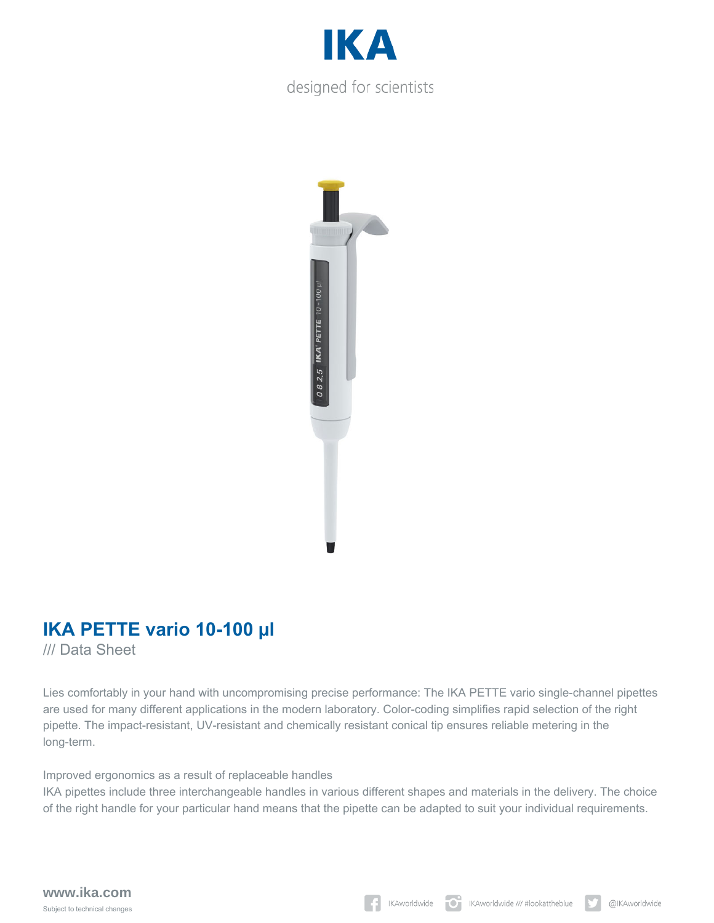



# **IKA PETTE vario 10-100 µl**

/// Data Sheet

Lies comfortably in your hand with uncompromising precise performance: The IKA PETTE vario single-channel pipettes are used for many different applications in the modern laboratory. Color-coding simplifies rapid selection of the right pipette. The impact-resistant, UV-resistant and chemically resistant conical tip ensures reliable metering in the long-term.

Improved ergonomics as a result of replaceable handles

IKA pipettes include three interchangeable handles in various different shapes and materials in the delivery. The choice of the right handle for your particular hand means that the pipette can be adapted to suit your individual requirements.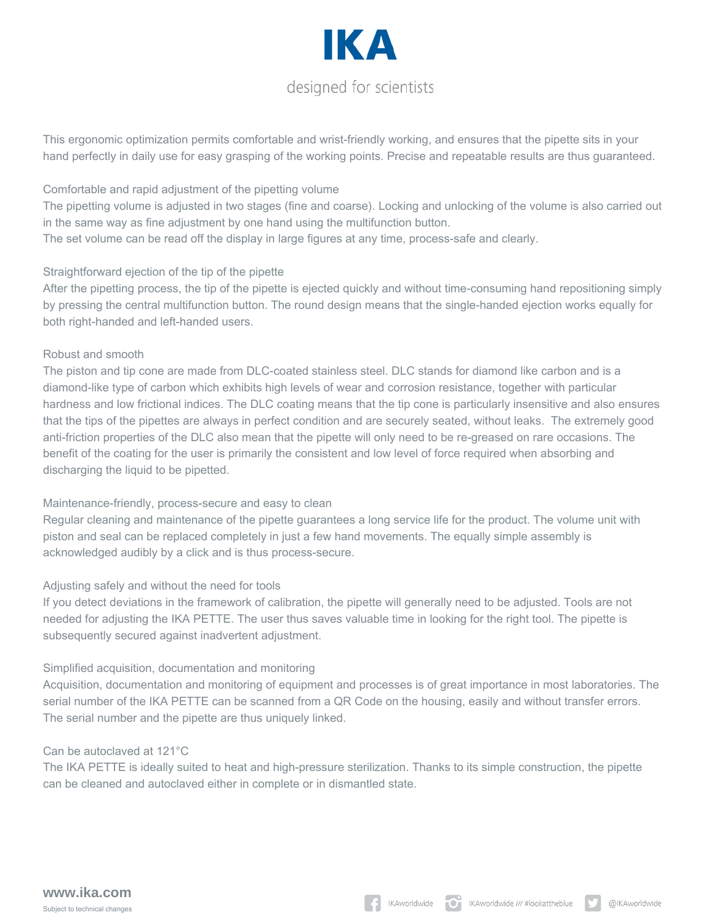# IK A designed for scientists

This ergonomic optimization permits comfortable and wrist-friendly working, and ensures that the pipette sits in your hand perfectly in daily use for easy grasping of the working points. Precise and repeatable results are thus guaranteed.

### Comfortable and rapid adjustment of the pipetting volume

The pipetting volume is adjusted in two stages (fine and coarse). Locking and unlocking of the volume is also carried out in the same way as fine adjustment by one hand using the multifunction button.

The set volume can be read off the display in large figures at any time, process-safe and clearly.

#### Straightforward ejection of the tip of the pipette

After the pipetting process, the tip of the pipette is ejected quickly and without time-consuming hand repositioning simply by pressing the central multifunction button. The round design means that the single-handed ejection works equally for both right-handed and left-handed users.

#### Robust and smooth

The piston and tip cone are made from DLC-coated stainless steel. DLC stands for diamond like carbon and is a diamond-like type of carbon which exhibits high levels of wear and corrosion resistance, together with particular hardness and low frictional indices. The DLC coating means that the tip cone is particularly insensitive and also ensures that the tips of the pipettes are always in perfect condition and are securely seated, without leaks. The extremely good anti-friction properties of the DLC also mean that the pipette will only need to be re-greased on rare occasions. The benefit of the coating for the user is primarily the consistent and low level of force required when absorbing and discharging the liquid to be pipetted.

# Maintenance-friendly, process-secure and easy to clean

Regular cleaning and maintenance of the pipette guarantees a long service life for the product. The volume unit with piston and seal can be replaced completely in just a few hand movements. The equally simple assembly is acknowledged audibly by a click and is thus process-secure.

# Adjusting safely and without the need for tools

If you detect deviations in the framework of calibration, the pipette will generally need to be adjusted. Tools are not needed for adjusting the IKA PETTE. The user thus saves valuable time in looking for the right tool. The pipette is subsequently secured against inadvertent adjustment.

# Simplified acquisition, documentation and monitoring

Acquisition, documentation and monitoring of equipment and processes is of great importance in most laboratories. The serial number of the IKA PETTE can be scanned from a QR Code on the housing, easily and without transfer errors. The serial number and the pipette are thus uniquely linked.

#### Can be autoclaved at 121°C

The IKA PETTE is ideally suited to heat and high-pressure sterilization. Thanks to its simple construction, the pipette can be cleaned and autoclaved either in complete or in dismantled state.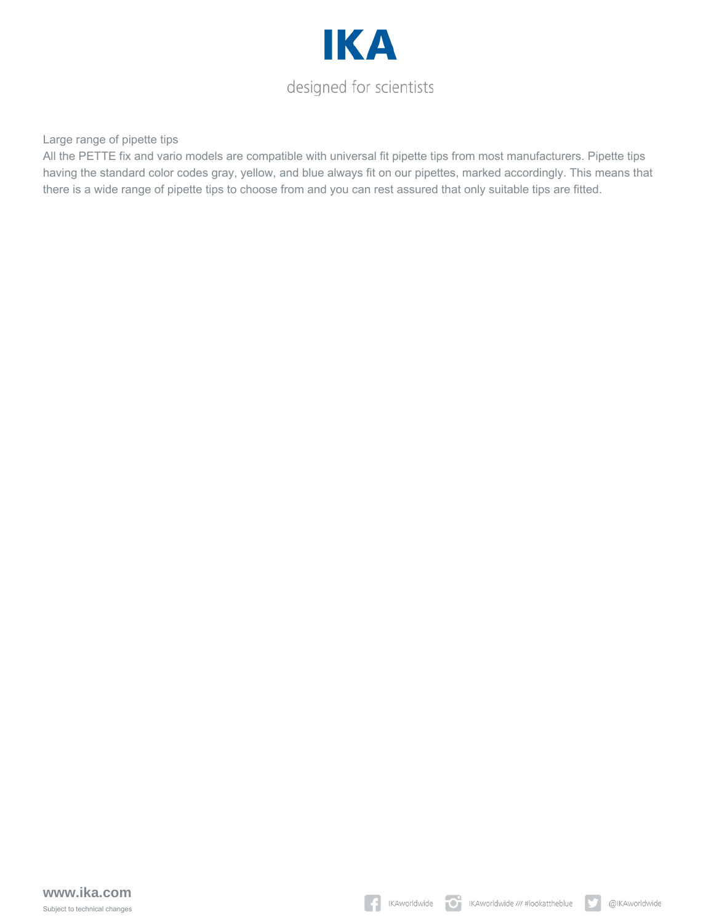

Large range of pipette tips

All the PETTE fix and vario models are compatible with universal fit pipette tips from most manufacturers. Pipette tips having the standard color codes gray, yellow, and blue always fit on our pipettes, marked accordingly. This means that there is a wide range of pipette tips to choose from and you can rest assured that only suitable tips are fitted.

 $|\mathbf{y}|$